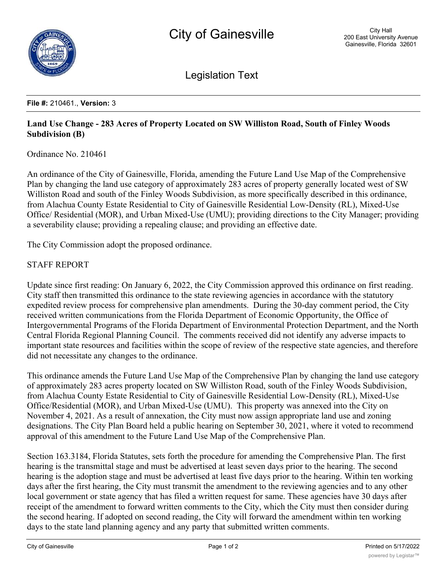

Legislation Text

## **File #:** 210461., **Version:** 3

## **Land Use Change - 283 Acres of Property Located on SW Williston Road, South of Finley Woods Subdivision (B)**

Ordinance No. 210461

An ordinance of the City of Gainesville, Florida, amending the Future Land Use Map of the Comprehensive Plan by changing the land use category of approximately 283 acres of property generally located west of SW Williston Road and south of the Finley Woods Subdivision, as more specifically described in this ordinance, from Alachua County Estate Residential to City of Gainesville Residential Low-Density (RL), Mixed-Use Office/ Residential (MOR), and Urban Mixed-Use (UMU); providing directions to the City Manager; providing a severability clause; providing a repealing clause; and providing an effective date.

The City Commission adopt the proposed ordinance.

## STAFF REPORT

Update since first reading: On January 6, 2022, the City Commission approved this ordinance on first reading. City staff then transmitted this ordinance to the state reviewing agencies in accordance with the statutory expedited review process for comprehensive plan amendments. During the 30-day comment period, the City received written communications from the Florida Department of Economic Opportunity, the Office of Intergovernmental Programs of the Florida Department of Environmental Protection Department, and the North Central Florida Regional Planning Council. The comments received did not identify any adverse impacts to important state resources and facilities within the scope of review of the respective state agencies, and therefore did not necessitate any changes to the ordinance.

This ordinance amends the Future Land Use Map of the Comprehensive Plan by changing the land use category of approximately 283 acres property located on SW Williston Road, south of the Finley Woods Subdivision, from Alachua County Estate Residential to City of Gainesville Residential Low-Density (RL), Mixed-Use Office/Residential (MOR), and Urban Mixed-Use (UMU). This property was annexed into the City on November 4, 2021. As a result of annexation, the City must now assign appropriate land use and zoning designations. The City Plan Board held a public hearing on September 30, 2021, where it voted to recommend approval of this amendment to the Future Land Use Map of the Comprehensive Plan.

Section 163.3184, Florida Statutes, sets forth the procedure for amending the Comprehensive Plan. The first hearing is the transmittal stage and must be advertised at least seven days prior to the hearing. The second hearing is the adoption stage and must be advertised at least five days prior to the hearing. Within ten working days after the first hearing, the City must transmit the amendment to the reviewing agencies and to any other local government or state agency that has filed a written request for same. These agencies have 30 days after receipt of the amendment to forward written comments to the City, which the City must then consider during the second hearing. If adopted on second reading, the City will forward the amendment within ten working days to the state land planning agency and any party that submitted written comments.